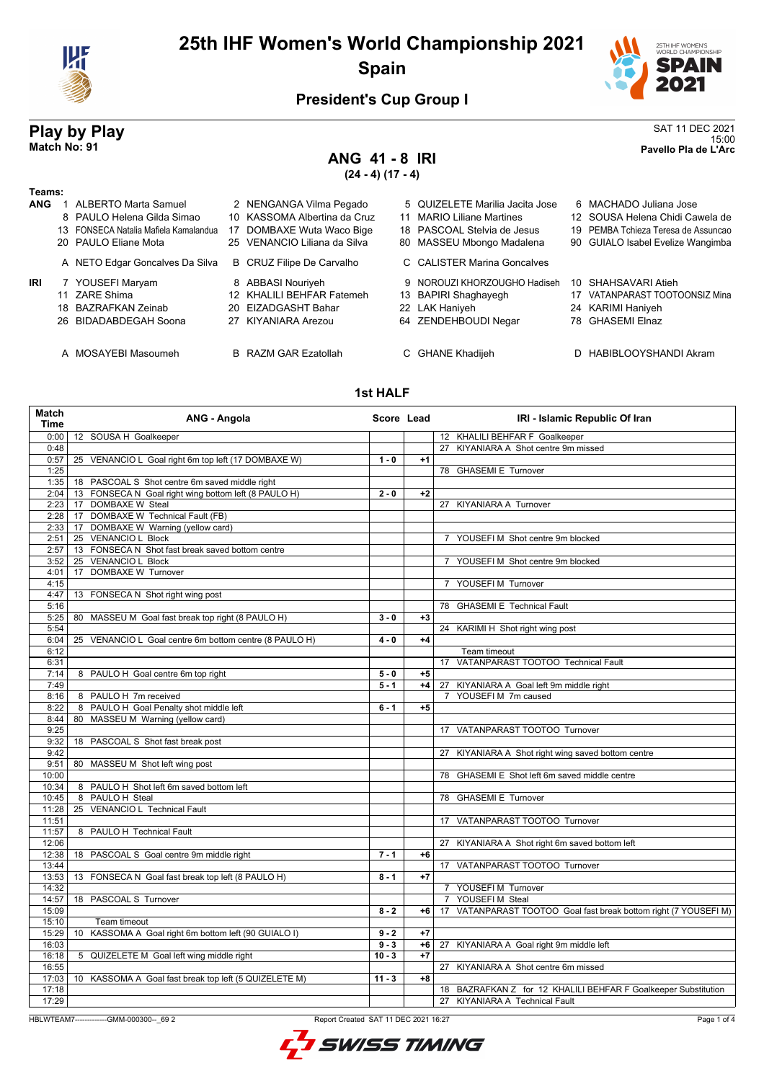

# **25th IHF Women's World Championship 2021 Spain**



15:00 **Match No: 91 Pavello Pla de L'Arc**

### **President's Cup Group I**

# **Play by Play**<br>Match No: 91<br>Pavello Pla de L'Arc

# **ANG 41 - 8 IRI**

**(24 - 4) (17 - 4)**

#### **Teams:**

| ANG | <b>ALBERTO Marta Samuel</b><br>8 PAULO Helena Gilda Simao<br>13 FONSECA Natalia Mafiela Kamalandua<br>20 PAULO Eliane Mota | 2 NENGANGA Vilma Pegado<br>10 KASSOMA Albertina da Cruz<br>17 DOMBAXE Wuta Waco Bige<br>25 VENANCIO Liliana da Silva | 5 QUIZELETE Marilia Jacita Jose<br>11 MARIO Liliane Martines<br>18 PASCOAL Stelvia de Jesus<br>80 MASSEU Mbongo Madalena | 6 MACHADO Juliana Jose<br>12 SOUSA Helena Chidi Cawela de<br>19 PEMBA Tchieza Teresa de Assuncao<br>90 GUIALO Isabel Evelize Wangimba |
|-----|----------------------------------------------------------------------------------------------------------------------------|----------------------------------------------------------------------------------------------------------------------|--------------------------------------------------------------------------------------------------------------------------|---------------------------------------------------------------------------------------------------------------------------------------|
|     | A NETO Edgar Goncalves Da Silva                                                                                            | <b>B</b> CRUZ Filipe De Carvalho                                                                                     | C CALISTER Marina Goncalves                                                                                              |                                                                                                                                       |
| IRI | 7 YOUSEFI Maryam<br>11 ZARE Shima<br>18 BAZRAFKAN Zeinab<br>26 BIDADABDEGAH Soona                                          | 8 ABBASI Nouriyeh<br>12 KHALILI BEHFAR Fatemeh<br>20 EIZADGASHT Bahar<br>27 KIYANIARA Arezou                         | 9 NOROUZI KHORZOUGHO Hadiseh<br>13 BAPIRI Shaghayegh<br>22 LAK Haniyeh<br>64 ZENDEHBOUDI Negar                           | 10 SHAHSAVARI Atieh<br>17 VATANPARAST TOOTOONSIZ Mina<br>24 KARIMI Haniyeh<br>78 GHASEMI Elnaz                                        |

- 
- 
- 
- A MOSAYEBI Masoumeh B RAZM GAR Ezatollah C GHANE Khadijeh D HABIBLOOYSHANDI Akram

#### **1st HALF**

| Match<br><b>Time</b> | <b>ANG - Angola</b>                                       | Score Lead |      | IRI - Islamic Republic Of Iran                                      |
|----------------------|-----------------------------------------------------------|------------|------|---------------------------------------------------------------------|
| 0:00                 | 12 SOUSA H Goalkeeper                                     |            |      | 12 KHALILI BEHFAR F Goalkeeper                                      |
| 0:48                 |                                                           |            |      | 27 KIYANIARA A Shot centre 9m missed                                |
| 0:57                 | 25 VENANCIO L Goal right 6m top left (17 DOMBAXE W)       | $1 - 0$    | $+1$ |                                                                     |
| 1:25                 |                                                           |            |      | 78 GHASEMI E Turnover                                               |
| 1:35                 | 18 PASCOAL S Shot centre 6m saved middle right            |            |      |                                                                     |
| 2:04                 | 13 FONSECA N Goal right wing bottom left (8 PAULO H)      | $2 - 0$    | $+2$ |                                                                     |
| 2:23                 | 17 DOMBAXE W Steal                                        |            |      | 27 KIYANIARA A Turnover                                             |
| 2:28                 | 17 DOMBAXE W Technical Fault (FB)                         |            |      |                                                                     |
| 2:33                 | 17 DOMBAXE W Warning (yellow card)                        |            |      |                                                                     |
| 2:51                 | 25 VENANCIO L Block                                       |            |      | YOUSEFI M Shot centre 9m blocked<br>$7^{\circ}$                     |
| 2:57                 | 13 FONSECA N Shot fast break saved bottom centre          |            |      |                                                                     |
| 3:52                 | 25 VENANCIO L Block                                       |            |      | 7 YOUSEFIM Shot centre 9m blocked                                   |
| 4:01                 | DOMBAXE W Turnover<br>17                                  |            |      |                                                                     |
| 4:15                 |                                                           |            |      | YOUSEFIM Turnover                                                   |
| 4:47                 | 13 FONSECA N Shot right wing post                         |            |      |                                                                     |
| 5:16                 |                                                           |            |      | 78 GHASEMI E Technical Fault                                        |
| 5:25                 | 80 MASSEU M Goal fast break top right (8 PAULO H)         | $3 - 0$    | $+3$ |                                                                     |
| 5:54                 |                                                           |            |      | 24 KARIMI H Shot right wing post                                    |
| 6:04                 | VENANCIO L Goal centre 6m bottom centre (8 PAULO H)<br>25 | $4 - 0$    | $+4$ |                                                                     |
| 6:12                 |                                                           |            |      | Team timeout                                                        |
| 6:31                 |                                                           |            |      | 17 VATANPARAST TOOTOO Technical Fault                               |
| 7:14                 | 8 PAULO H Goal centre 6m top right                        | $5 - 0$    | $+5$ |                                                                     |
| 7:49                 |                                                           | $5 - 1$    | $+4$ | 27 KIYANIARA A Goal left 9m middle right                            |
| 8:16                 | 8 PAULO H 7m received                                     |            |      | YOUSEFIM 7m caused<br>$\overline{7}$                                |
| 8:22                 | 8 PAULO H Goal Penalty shot middle left                   | $6 - 1$    | $+5$ |                                                                     |
| 8:44                 | MASSEU M Warning (yellow card)<br>80                      |            |      |                                                                     |
| 9:25                 |                                                           |            |      | 17 VATANPARAST TOOTOO Turnover                                      |
| 9:32                 | 18 PASCOAL S Shot fast break post                         |            |      |                                                                     |
| 9:42                 |                                                           |            |      | 27 KIYANIARA A Shot right wing saved bottom centre                  |
| 9:51                 | 80 MASSEU M Shot left wing post                           |            |      |                                                                     |
|                      |                                                           |            |      | 78 GHASEMI E Shot left 6m saved middle centre                       |
| 10:00                |                                                           |            |      |                                                                     |
| 10:34                | 8 PAULO H Shot left 6m saved bottom left                  |            |      |                                                                     |
| 10:45                | 8 PAULO H Steal                                           |            |      | 78 GHASEMI E Turnover                                               |
| 11:28                | 25 VENANCIO L Technical Fault                             |            |      |                                                                     |
| 11:51                |                                                           |            |      | 17 VATANPARAST TOOTOO Turnover                                      |
| 11:57                | 8 PAULO H Technical Fault                                 |            |      |                                                                     |
| 12:06                |                                                           |            |      | KIYANIARA A Shot right 6m saved bottom left<br>27                   |
| 12:38                | 18 PASCOAL S Goal centre 9m middle right                  | $7 - 1$    | $+6$ |                                                                     |
| 13:44                |                                                           |            |      | 17 VATANPARAST TOOTOO Turnover                                      |
| 13:53                | 13 FONSECA N Goal fast break top left (8 PAULO H)         | $8 - 1$    | $+7$ |                                                                     |
| 14:32                |                                                           |            |      | 7 YOUSEFI M Turnover                                                |
| 14:57                | 18 PASCOAL S Turnover                                     |            |      | 7 YOUSEFIM Steal                                                    |
| 15:09                |                                                           | $8 - 2$    | $+6$ | VATANPARAST TOOTOO Goal fast break bottom right (7 YOUSEFI M)<br>17 |
| 15:10                | Team timeout                                              |            |      |                                                                     |
| 15:29                | 10 KASSOMA A Goal right 6m bottom left (90 GUIALO I)      | $9 - 2$    | $+7$ |                                                                     |
| 16:03                |                                                           | $9 - 3$    | $+6$ | 27 KIYANIARA A Goal right 9m middle left                            |
| 16:18                | 5 QUIZELETE M Goal left wing middle right                 | $10 - 3$   | $+7$ |                                                                     |
| 16:55                |                                                           |            |      | 27 KIYANIARA A Shot centre 6m missed                                |
| 17:03                | 10 KASSOMA A Goal fast break top left (5 QUIZELETE M)     | $11 - 3$   | $+8$ |                                                                     |
| 17:18                |                                                           |            |      | 18 BAZRAFKAN Z for 12 KHALILI BEHFAR F Goalkeeper Substitution      |
| 17:29                |                                                           |            |      | 27 KIYANIARA A Technical Fault                                      |

HBLWTEAM7-------------GMM-000300--\_69 2 Report Created SAT 11 DEC 2021 16:27



Page 1 of 4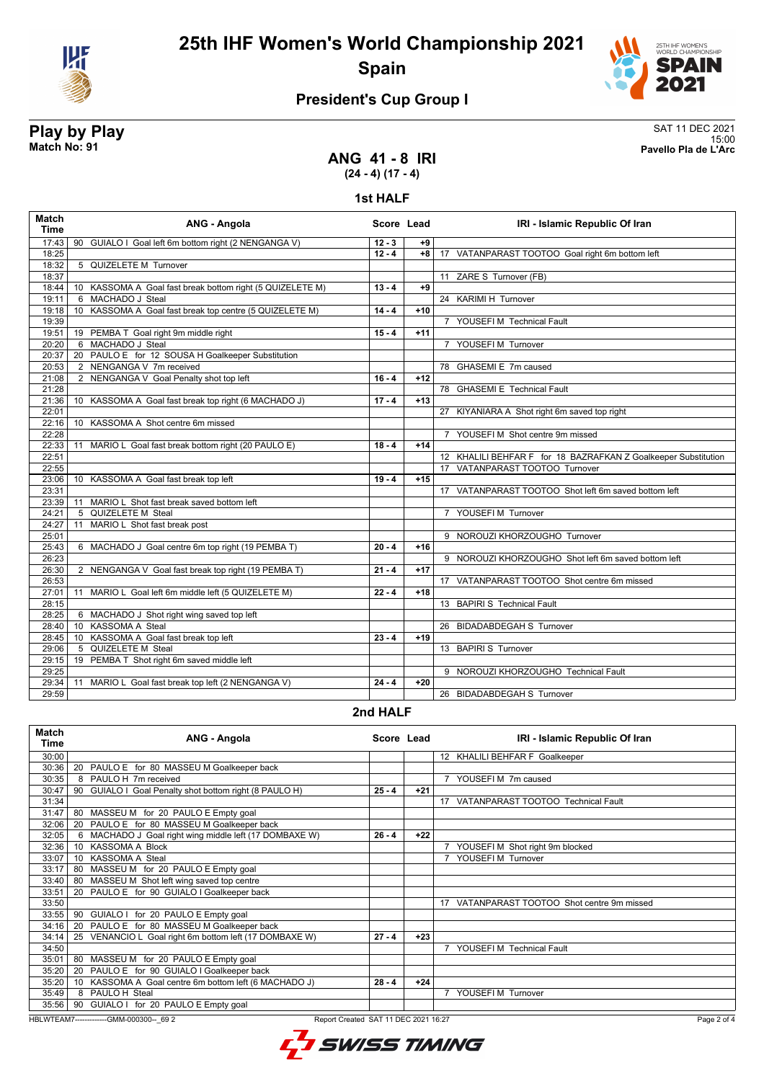



# **President's Cup Group I**

# **Play by Play**<br>Match No: 91 **SAT 11 DEC 2021**<br>Pavello Pla de L'Arc

15:00 **Match No: 91 Pavello Pla de L'Arc**

### **ANG 41 - 8 IRI (24 - 4) (17 - 4)**

#### **1st HALF**

| <b>Match</b><br><b>Time</b> | ANG - Angola                                                            | Score Lead |       | IRI - Islamic Republic Of Iran                                 |
|-----------------------------|-------------------------------------------------------------------------|------------|-------|----------------------------------------------------------------|
| 17:43                       | 90 GUIALO I Goal left 6m bottom right (2 NENGANGA V)                    | $12 - 3$   | +9    |                                                                |
| 18:25                       |                                                                         | $12 - 4$   | $+8$  | 17 VATANPARAST TOOTOO Goal right 6m bottom left                |
| 18:32                       | 5 QUIZELETE M Turnover                                                  |            |       |                                                                |
| 18:37                       |                                                                         |            |       | 11 ZARE S Turnover (FB)                                        |
| 18:44                       | 10 KASSOMA A Goal fast break bottom right (5 QUIZELETE M)               | $13 - 4$   | $+9$  |                                                                |
| 19:11                       | 6 MACHADO J Steal                                                       |            |       | 24 KARIMI H Turnover                                           |
| 19:18                       | KASSOMA A Goal fast break top centre (5 QUIZELETE M)<br>10 <sup>°</sup> | $14 - 4$   | $+10$ |                                                                |
| 19:39                       |                                                                         |            |       | 7 YOUSEFI M Technical Fault                                    |
| 19:51                       | 19 PEMBA T Goal right 9m middle right                                   | $15 - 4$   | $+11$ |                                                                |
| 20:20                       | 6 MACHADO J Steal                                                       |            |       | 7 YOUSEFI M Turnover                                           |
| 20:37                       | 20 PAULO E for 12 SOUSA H Goalkeeper Substitution                       |            |       |                                                                |
| 20:53                       | 2 NENGANGA V 7m received                                                |            |       | 78 GHASEMI E 7m caused                                         |
| 21:08                       | 2 NENGANGA V Goal Penalty shot top left                                 | $16 - 4$   | $+12$ |                                                                |
| 21:28                       |                                                                         |            |       | 78 GHASEMI E Technical Fault                                   |
| 21:36                       | 10 KASSOMA A Goal fast break top right (6 MACHADO J)                    | $17 - 4$   | $+13$ |                                                                |
| 22:01                       |                                                                         |            |       | 27 KIYANIARA A Shot right 6m saved top right                   |
| 22:16                       | 10 KASSOMA A Shot centre 6m missed                                      |            |       |                                                                |
| 22:28                       |                                                                         |            |       | 7 YOUSEFIM Shot centre 9m missed                               |
| 22:33                       | MARIO L Goal fast break bottom right (20 PAULO E)<br>11                 | $18 - 4$   | $+14$ |                                                                |
| 22:51                       |                                                                         |            |       | 12 KHALILI BEHFAR F for 18 BAZRAFKAN Z Goalkeeper Substitution |
| 22:55                       |                                                                         |            |       | 17 VATANPARAST TOOTOO Turnover                                 |
| 23:06                       | 10 KASSOMA A Goal fast break top left                                   | $19 - 4$   | $+15$ |                                                                |
| 23:31                       |                                                                         |            |       | 17 VATANPARAST TOOTOO Shot left 6m saved bottom left           |
| 23:39                       | MARIO L Shot fast break saved bottom left<br>11                         |            |       |                                                                |
| 24:21                       | <b>QUIZELETE M Steal</b><br>5                                           |            |       | 7 YOUSEFIM Turnover                                            |
| 24:27                       | MARIO L Shot fast break post<br>11                                      |            |       |                                                                |
| 25:01                       |                                                                         |            |       | 9 NOROUZI KHORZOUGHO Turnover                                  |
| 25:43                       | 6 MACHADO J Goal centre 6m top right (19 PEMBA T)                       | $20 - 4$   | $+16$ |                                                                |
| 26:23                       |                                                                         |            |       | 9 NOROUZI KHORZOUGHO Shot left 6m saved bottom left            |
| 26:30                       | 2 NENGANGA V Goal fast break top right (19 PEMBA T)                     | $21 - 4$   | $+17$ |                                                                |
| 26:53                       |                                                                         |            |       | 17 VATANPARAST TOOTOO Shot centre 6m missed                    |
| 27:01                       | MARIO L Goal left 6m middle left (5 QUIZELETE M)<br>11                  | $22 - 4$   | $+18$ |                                                                |
| 28:15                       |                                                                         |            |       | 13 BAPIRI S Technical Fault                                    |
| 28:25                       | 6 MACHADO J Shot right wing saved top left                              |            |       |                                                                |
| 28:40                       | 10 KASSOMA A Steal                                                      |            |       | 26 BIDADABDEGAH S Turnover                                     |
| 28:45                       | 10 KASSOMA A Goal fast break top left                                   | $23 - 4$   | $+19$ |                                                                |
| 29:06                       | QUIZELETE M Steal<br>5                                                  |            |       | 13 BAPIRIS Turnover                                            |
| 29:15                       | 19 PEMBA T Shot right 6m saved middle left                              |            |       |                                                                |
| 29:25                       |                                                                         |            |       | 9 NOROUZI KHORZOUGHO Technical Fault                           |
| 29:34                       | MARIO L Goal fast break top left (2 NENGANGA V)<br>11                   | $24 - 4$   | $+20$ |                                                                |
| 29:59                       |                                                                         |            |       | 26 BIDADABDEGAH S Turnover                                     |

#### **2nd HALF**

| <b>Match</b><br>Time | ANG - Angola                                              | Score Lead                           |       | IRI - Islamic Republic Of Iran                 |
|----------------------|-----------------------------------------------------------|--------------------------------------|-------|------------------------------------------------|
| 30:00                |                                                           |                                      |       | 12 KHALILI BEHFAR F Goalkeeper                 |
| 30:36                | 20<br>PAULO E for 80 MASSEU M Goalkeeper back             |                                      |       |                                                |
| 30:35                | 8 PAULO H 7m received                                     |                                      |       | 7 YOUSEFIM 7m caused                           |
| 30:47                | 90 GUIALO I Goal Penalty shot bottom right (8 PAULO H)    | $25 - 4$                             | $+21$ |                                                |
| 31:34                |                                                           |                                      |       | 17 VATANPARAST TOOTOO Technical Fault          |
| 31:47                | MASSEU M for 20 PAULO E Empty goal<br>80                  |                                      |       |                                                |
| 32:06                | PAULO E for 80 MASSEU M Goalkeeper back<br>20             |                                      |       |                                                |
| 32:05                | 6 MACHADO J Goal right wing middle left (17 DOMBAXE W)    | $26 - 4$                             | $+22$ |                                                |
| 32:36                | <b>KASSOMA A Block</b><br>10 <sup>1</sup>                 |                                      |       | 7 YOUSEFIM Shot right 9m blocked               |
| 33:07                | KASSOMA A Steal<br>10                                     |                                      |       | YOUSEFI M Turnover                             |
| 33:17                | MASSEU M for 20 PAULO E Empty goal<br>80                  |                                      |       |                                                |
| 33:40                | MASSEU M Shot left wing saved top centre<br>80            |                                      |       |                                                |
| 33:51                | PAULO E for 90 GUIALO I Goalkeeper back<br>20             |                                      |       |                                                |
| 33:50                |                                                           |                                      |       | VATANPARAST TOOTOO Shot centre 9m missed<br>17 |
| 33:55                | GUIALO I for 20 PAULO E Empty goal<br>90                  |                                      |       |                                                |
| 34:16                | PAULO E for 80 MASSEU M Goalkeeper back<br>20             |                                      |       |                                                |
| 34:14                | VENANCIO L Goal right 6m bottom left (17 DOMBAXE W)<br>25 | $27 - 4$                             | $+23$ |                                                |
| 34:50                |                                                           |                                      |       | YOUSEFI M Technical Fault                      |
| 35:01                | MASSEU M for 20 PAULO E Empty goal<br>80                  |                                      |       |                                                |
| 35:20                | PAULO E for 90 GUIALO I Goalkeeper back<br>20             |                                      |       |                                                |
| 35:20                | KASSOMA A Goal centre 6m bottom left (6 MACHADO J)<br>10  | $28 - 4$                             | $+24$ |                                                |
| 35:49                | 8 PAULO H Steal                                           |                                      |       | YOUSEFI M Turnover                             |
| 35:56                | GUIALO I for 20 PAULO E Empty goal<br>90                  |                                      |       |                                                |
|                      | HBLWTEAM7-------------GMM-000300-- 69 2                   | Report Created SAT 11 DEC 2021 16:27 |       | Page 2 of 4                                    |

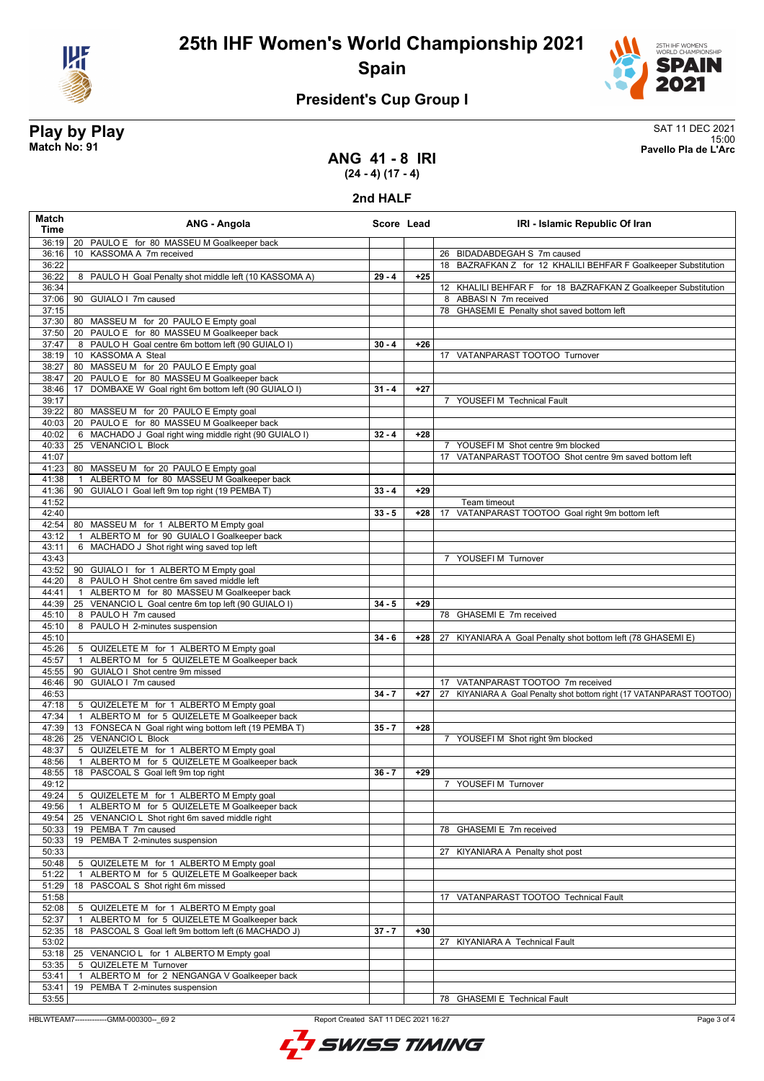

**25th IHF Women's World Championship 2021 Spain**



## **President's Cup Group I**

**Play by Play**<br>Match No: 91 **SAT 11 DEC 2021**<br>Pavello Pla de L'Arc 15:00 **Match No: 91 Pavello Pla de L'Arc**

**ANG 41 - 8 IRI (24 - 4) (17 - 4)**

**2nd HALF**

| <b>Match</b><br><b>Time</b> | ANG - Angola                                                  | Score Lead |       | IRI - Islamic Republic Of Iran                                        |
|-----------------------------|---------------------------------------------------------------|------------|-------|-----------------------------------------------------------------------|
| 36:19                       | 20 PAULO E for 80 MASSEU M Goalkeeper back                    |            |       |                                                                       |
| 36:16                       | KASSOMA A 7m received<br>10 <sup>°</sup>                      |            |       | 26 BIDADABDEGAH S 7m caused                                           |
| 36:22                       |                                                               |            |       | 18 BAZRAFKAN Z for 12 KHALILI BEHFAR F Goalkeeper Substitution        |
| 36:22                       | 8 PAULO H Goal Penalty shot middle left (10 KASSOMA A)        | $29 - 4$   | $+25$ |                                                                       |
| 36:34                       |                                                               |            |       | 12 KHALILI BEHFAR F for 18 BAZRAFKAN Z Goalkeeper Substitution        |
| 37:06                       | 90 GUIALO I 7m caused                                         |            |       | 8 ABBASI N 7m received                                                |
| 37:15                       |                                                               |            |       | 78 GHASEMI E Penalty shot saved bottom left                           |
| 37:30                       | 80 MASSEU M for 20 PAULO E Empty goal                         |            |       |                                                                       |
| 37:50                       | 20 PAULO E for 80 MASSEU M Goalkeeper back                    |            |       |                                                                       |
| 37:47                       | 8 PAULO H Goal centre 6m bottom left (90 GUIALO I)            | $30 - 4$   | $+26$ |                                                                       |
| 38:19                       | 10 KASSOMA A Steal                                            |            |       | 17 VATANPARAST TOOTOO Turnover                                        |
| 38:27                       | 80 MASSEU M for 20 PAULO E Empty goal                         |            |       |                                                                       |
| 38:47                       | 20 PAULO E for 80 MASSEU M Goalkeeper back                    |            |       |                                                                       |
| 38:46<br>39:17              | DOMBAXE W Goal right 6m bottom left (90 GUIALO I)<br>17       | $31 - 4$   | $+27$ |                                                                       |
| 39:22                       | 80 MASSEU M for 20 PAULO E Empty goal                         |            |       | 7 YOUSEFI M Technical Fault                                           |
| 40:03                       | 20 PAULO E for 80 MASSEU M Goalkeeper back                    |            |       |                                                                       |
| 40:02                       | 6 MACHADO J Goal right wing middle right (90 GUIALO I)        | $32 - 4$   | $+28$ |                                                                       |
| 40:33                       | <b>VENANCIO L Block</b><br>25                                 |            |       | 7 YOUSEFIM Shot centre 9m blocked                                     |
| 41:07                       |                                                               |            |       | 17 VATANPARAST TOOTOO Shot centre 9m saved bottom left                |
| 41:23                       | 80 MASSEU M for 20 PAULO E Empty goal                         |            |       |                                                                       |
| 41:38                       | ALBERTO M for 80 MASSEU M Goalkeeper back<br>$\overline{1}$   |            |       |                                                                       |
| 41:36                       | 90 GUIALO I Goal left 9m top right (19 PEMBA T)               | $33 - 4$   | $+29$ |                                                                       |
| 41:52                       |                                                               |            |       | Team timeout                                                          |
| 42:40                       |                                                               | $33 - 5$   | $+28$ | 17 VATANPARAST TOOTOO Goal right 9m bottom left                       |
| 42:54                       | 80 MASSEU M for 1 ALBERTO M Empty goal                        |            |       |                                                                       |
| 43:12                       | ALBERTO M for 90 GUIALO I Goalkeeper back<br>$\mathbf{1}$     |            |       |                                                                       |
| 43:11                       | 6 MACHADO J Shot right wing saved top left                    |            |       |                                                                       |
| 43:43                       |                                                               |            |       | 7 YOUSEFIM Turnover                                                   |
| 43:52                       | 90 GUIALO I for 1 ALBERTO M Empty goal                        |            |       |                                                                       |
| 44:20                       | 8 PAULO H Shot centre 6m saved middle left                    |            |       |                                                                       |
| 44:41                       | ALBERTO M for 80 MASSEU M Goalkeeper back<br>$\mathbf{1}$     |            |       |                                                                       |
| 44:39                       | 25 VENANCIO L Goal centre 6m top left (90 GUIALO I)           | $34 - 5$   | $+29$ |                                                                       |
| 45:10                       | 8 PAULO H 7m caused                                           |            |       | 78 GHASEMI E 7m received                                              |
| 45:10                       | 8 PAULO H 2-minutes suspension                                |            |       |                                                                       |
| 45:10                       |                                                               | $34 - 6$   | +28   | 27 KIYANIARA A Goal Penalty shot bottom left (78 GHASEMI E)           |
| 45:26                       | 5 QUIZELETE M for 1 ALBERTO M Empty goal                      |            |       |                                                                       |
| 45:57                       | ALBERTO M for 5 QUIZELETE M Goalkeeper back<br>$\mathbf{1}$   |            |       |                                                                       |
| 45:55                       | 90 GUIALO I Shot centre 9m missed                             |            |       |                                                                       |
| 46:46                       | 90 GUIALO I 7m caused                                         |            |       | 17 VATANPARAST TOOTOO 7m received                                     |
| 46:53                       |                                                               | $34 - 7$   | $+27$ | 27 KIYANIARA A Goal Penalty shot bottom right (17 VATANPARAST TOOTOO) |
| 47:18                       | 5 QUIZELETE M for 1 ALBERTO M Empty goal                      |            |       |                                                                       |
| 47:34                       | 1 ALBERTO M for 5 QUIZELETE M Goalkeeper back                 |            |       |                                                                       |
| 47:39                       | 13 FONSECA N Goal right wing bottom left (19 PEMBA T)         | $35 - 7$   | $+28$ |                                                                       |
| 48:26                       | 25 VENANCIO L Block                                           |            |       | 7 YOUSEFIM Shot right 9m blocked                                      |
| 48:37                       | 5 QUIZELETE M for 1 ALBERTO M Empty goal                      |            |       |                                                                       |
| 48:56                       | ALBERTO M for 5 QUIZELETE M Goalkeeper back<br>$\overline{1}$ |            |       |                                                                       |
| 48:55                       | 18 PASCOAL S Goal left 9m top right                           | $36 - 7$   | $+29$ |                                                                       |
| 49:12                       |                                                               |            |       | 7 YOUSEFI M Turnover                                                  |
| 49:24                       | 5 QUIZELETE M for 1 ALBERTO M Empty goal                      |            |       |                                                                       |
| 49:56                       | ALBERTO M for 5 QUIZELETE M Goalkeeper back<br>$\overline{1}$ |            |       |                                                                       |
| 49:54                       | 25 VENANCIO L Shot right 6m saved middle right                |            |       |                                                                       |
| 50:33                       | 19 PEMBA T 7m caused                                          |            |       | 78 GHASEMI E 7m received                                              |
| 50:33                       | 19 PEMBA T 2-minutes suspension                               |            |       |                                                                       |
| 50:33                       |                                                               |            |       | 27 KIYANIARA A Penalty shot post                                      |
| 50:48                       | 5 QUIZELETE M for 1 ALBERTO M Empty goal                      |            |       |                                                                       |
| 51:22                       | ALBERTO M for 5 QUIZELETE M Goalkeeper back<br>$\mathbf{1}$   |            |       |                                                                       |
| 51:29                       | PASCOAL S Shot right 6m missed<br>18                          |            |       |                                                                       |
| 51:58                       |                                                               |            |       | 17 VATANPARAST TOOTOO Technical Fault                                 |
| 52:08                       | 5 QUIZELETE M for 1 ALBERTO M Empty goal                      |            |       |                                                                       |
| 52:37                       | ALBERTO M for 5 QUIZELETE M Goalkeeper back<br>$\overline{1}$ |            |       |                                                                       |
| 52:35                       | PASCOAL S Goal left 9m bottom left (6 MACHADO J)<br>18        | $37 - 7$   | $+30$ |                                                                       |
| 53:02                       |                                                               |            |       | 27 KIYANIARA A Technical Fault                                        |
| 53:18                       | 25 VENANCIO L for 1 ALBERTO M Empty goal                      |            |       |                                                                       |
| 53:35                       | QUIZELETE M Turnover<br>5                                     |            |       |                                                                       |
| 53:41                       | ALBERTO M for 2 NENGANGA V Goalkeeper back<br>$\mathbf{1}$    |            |       |                                                                       |
| 53:41                       | 19 PEMBA T 2-minutes suspension                               |            |       |                                                                       |
| 53:55                       |                                                               |            |       | 78 GHASEMI E Technical Fault                                          |
|                             |                                                               |            |       |                                                                       |